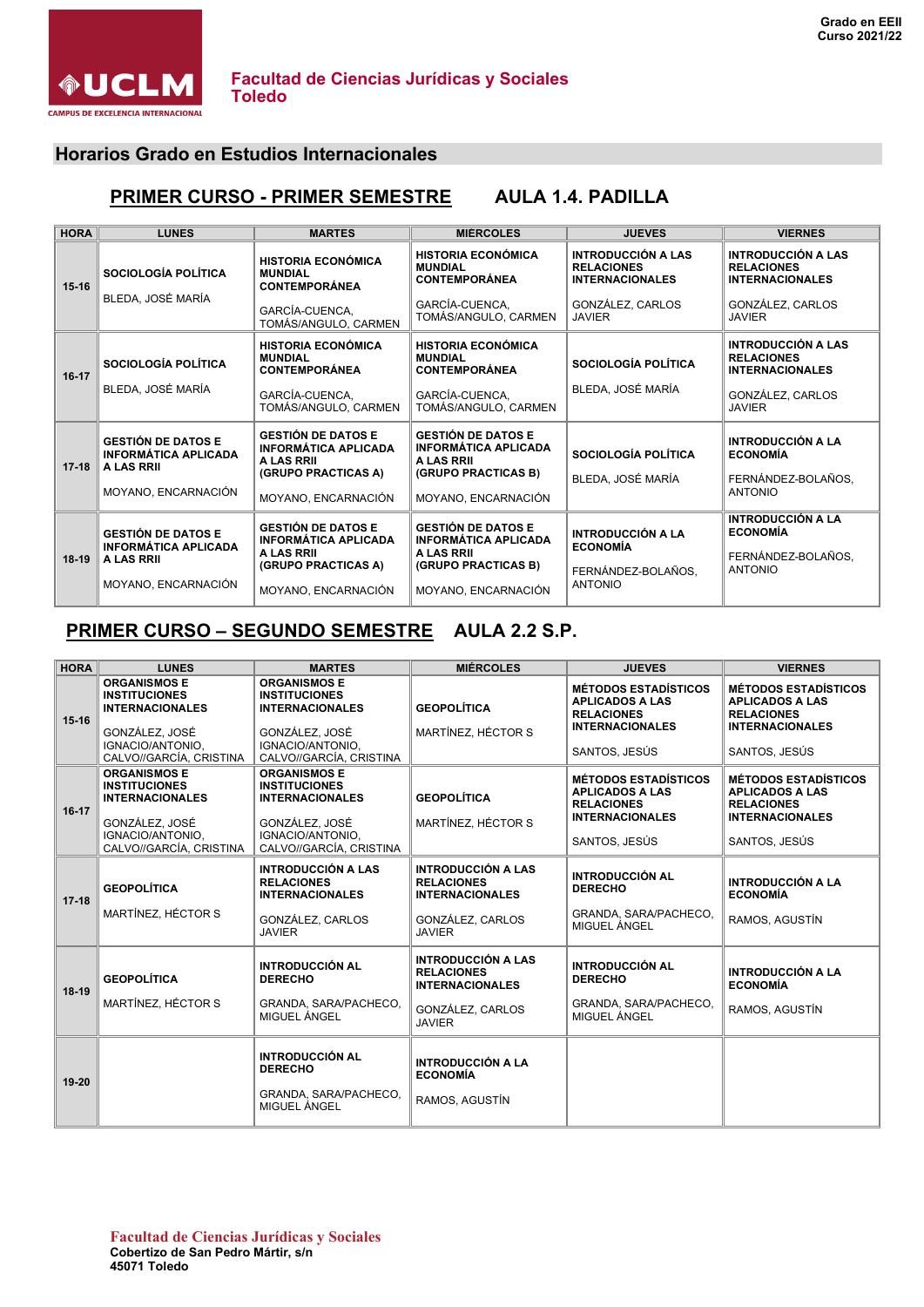

#### **Horarios Grado en Estudios Internacionales**

# **PRIMER CURSO - PRIMER SEMESTRE AULA 1.4. PADILLA**

| <b>HORA</b> | <b>LUNES</b>                                                           | <b>MARTES</b>                                                                                 | <b>MIÉRCOLES</b>                                                                              | <b>JUEVES</b>                                                                                | <b>VIERNES</b>                                                                        |
|-------------|------------------------------------------------------------------------|-----------------------------------------------------------------------------------------------|-----------------------------------------------------------------------------------------------|----------------------------------------------------------------------------------------------|---------------------------------------------------------------------------------------|
| $15 - 16$   | <b>SOCIOLOGÍA POLÍTICA</b><br>BLEDA, JOSÉ MARÍA                        | <b>HISTORIA ECONÓMICA</b><br><b>MUNDIAL</b><br><b>CONTEMPORÁNEA</b><br>GARCÍA-CUENCA,         | <b>HISTORIA ECONÓMICA</b><br><b>MUNDIAL</b><br>CONTEMPORÁNEA<br>GARCÍA-CUENCA.                | <b>INTRODUCCIÓN A LAS</b><br><b>RELACIONES</b><br><b>INTERNACIONALES</b><br>GONZÁLEZ, CARLOS | INTRODUCCIÓN A LAS<br><b>RELACIONES</b><br><b>INTERNACIONALES</b><br>GONZÁLEZ, CARLOS |
|             |                                                                        | TOMÁS/ANGULO, CARMEN                                                                          | TOMÁS/ANGULO, CARMEN                                                                          | <b>JAVIER</b>                                                                                | <b>JAVIER</b>                                                                         |
| $16-17$     | <b>SOCIOLOGÍA POLÍTICA</b>                                             | <b>HISTORIA ECONÓMICA</b><br><b>MUNDIAL</b><br><b>CONTEMPORÁNEA</b>                           | <b>HISTORIA ECONÓMICA</b><br><b>MUNDIAL</b><br><b>CONTEMPORÁNEA</b>                           | SOCIOLOGÍA POLÍTICA                                                                          | INTRODUCCIÓN A LAS<br><b>RELACIONES</b><br><b>INTERNACIONALES</b>                     |
|             | BLEDA, JOSÉ MARÍA                                                      | GARCÍA-CUENCA.<br>TOMÁS/ANGULO, CARMEN                                                        | GARCÍA-CUENCA.<br>TOMÁS/ANGULO, CARMEN                                                        | BLEDA, JOSÉ MARÍA                                                                            | GONZÁLEZ, CARLOS<br><b>JAVIER</b>                                                     |
| $17 - 18$   | <b>GESTIÓN DE DATOS E</b><br><b>INFORMÁTICA APLICADA</b><br>A LAS RRII | <b>GESTIÓN DE DATOS E</b><br><b>INFORMÁTICA APLICADA</b><br>A LAS RRII<br>(GRUPO PRACTICAS A) | <b>GESTIÓN DE DATOS E</b><br><b>INFORMÁTICA APLICADA</b><br>A LAS RRII<br>(GRUPO PRACTICAS B) | SOCIOLOGÍA POLÍTICA                                                                          | <b>INTRODUCCIÓN A LA</b><br><b>ECONOMÍA</b>                                           |
|             | MOYANO, ENCARNACIÓN                                                    | MOYANO, ENCARNACIÓN                                                                           | MOYANO, ENCARNACIÓN                                                                           | BLEDA, JOSÉ MARÍA                                                                            | FERNÁNDEZ-BOLAÑOS.<br><b>ANTONIO</b>                                                  |
| $18-19$     | <b>GESTIÓN DE DATOS E</b><br><b>INFORMÁTICA APLICADA</b>               | <b>GESTIÓN DE DATOS E</b><br><b>INFORMÁTICA APLICADA</b><br>A LAS RRII                        | <b>GESTIÓN DE DATOS E</b><br><b>INFORMÁTICA APLICADA</b><br>A LAS RRII                        | <b>INTRODUCCIÓN A LA</b><br><b>ECONOMÍA</b>                                                  | <b>INTRODUCCIÓN A LA</b><br><b>ECONOMÍA</b>                                           |
|             | A LAS RRII                                                             | (GRUPO PRACTICAS A)                                                                           | (GRUPO PRACTICAS B)                                                                           | FERNÁNDEZ-BOLAÑOS,<br><b>ANTONIO</b>                                                         | FERNÁNDEZ-BOLAÑOS,<br><b>ANTONIO</b>                                                  |
|             | MOYANO, ENCARNACIÓN                                                    | MOYANO, ENCARNACIÓN                                                                           | MOYANO, ENCARNACIÓN                                                                           |                                                                                              |                                                                                       |

# **PRIMER CURSO – SEGUNDO SEMESTRE AULA 2.2 S.P.**

| <b>HORA</b> | <b>LUNES</b>                                                                                                                           | <b>MARTES</b>                                                                                                                          | <b>MIÉRCOLES</b>                                                                                              | <b>JUEVES</b>                                                                                                         | <b>VIERNES</b>                                                                                                        |
|-------------|----------------------------------------------------------------------------------------------------------------------------------------|----------------------------------------------------------------------------------------------------------------------------------------|---------------------------------------------------------------------------------------------------------------|-----------------------------------------------------------------------------------------------------------------------|-----------------------------------------------------------------------------------------------------------------------|
| $15-16$     | <b>ORGANISMOS E</b><br><b>INSTITUCIONES</b><br><b>INTERNACIONALES</b><br>GONZÁLEZ, JOSÉ<br>IGNACIO/ANTONIO,<br>CALVO//GARCÍA, CRISTINA | <b>ORGANISMOS E</b><br><b>INSTITUCIONES</b><br><b>INTERNACIONALES</b><br>GONZÁLEZ, JOSÉ<br>IGNACIO/ANTONIO.<br>CALVO//GARCÍA, CRISTINA | <b>GEOPOLÍTICA</b><br>MARTÍNEZ, HÉCTOR S                                                                      | <b>MÉTODOS ESTADÍSTICOS</b><br><b>APLICADOS A LAS</b><br><b>RELACIONES</b><br><b>INTERNACIONALES</b><br>SANTOS, JESÚS | <b>MÉTODOS ESTADÍSTICOS</b><br><b>APLICADOS A LAS</b><br><b>RELACIONES</b><br><b>INTERNACIONALES</b><br>SANTOS, JESÚS |
| $16-17$     | <b>ORGANISMOS E</b><br><b>INSTITUCIONES</b><br><b>INTERNACIONALES</b><br>GONZÁLEZ, JOSÉ<br>IGNACIO/ANTONIO.<br>CALVO//GARCÍA, CRISTINA | <b>ORGANISMOS E</b><br><b>INSTITUCIONES</b><br><b>INTERNACIONALES</b><br>GONZÁLEZ, JOSÉ<br>IGNACIO/ANTONIO.<br>CALVO//GARCÍA, CRISTINA | <b>GEOPOLÍTICA</b><br>MARTÍNEZ, HÉCTOR S                                                                      | <b>MÉTODOS ESTADÍSTICOS</b><br><b>APLICADOS A LAS</b><br><b>RELACIONES</b><br><b>INTERNACIONALES</b><br>SANTOS, JESÚS | <b>MÉTODOS ESTADÍSTICOS</b><br><b>APLICADOS A LAS</b><br><b>RELACIONES</b><br><b>INTERNACIONALES</b><br>SANTOS, JESÚS |
| $17 - 18$   | <b>GEOPOLÍTICA</b><br>MARTÍNEZ. HÉCTOR S                                                                                               | <b>INTRODUCCIÓN A LAS</b><br><b>RELACIONES</b><br><b>INTERNACIONALES</b><br>GONZÁLEZ, CARLOS<br><b>JAVIER</b>                          | INTRODUCCIÓN A LAS<br><b>RELACIONES</b><br><b>INTERNACIONALES</b><br>GONZÁLEZ, CARLOS<br><b>JAVIER</b>        | <b>INTRODUCCIÓN AL</b><br><b>DERECHO</b><br>GRANDA, SARA/PACHECO.<br>MIGUEL ÁNGEL                                     | <b>INTRODUCCIÓN A LA</b><br><b>ECONOMÍA</b><br>RAMOS, AGUSTÍN                                                         |
| $18-19$     | <b>GEOPOLÍTICA</b><br>MARTÍNEZ, HÉCTOR S                                                                                               | <b>INTRODUCCIÓN AL</b><br><b>DERECHO</b><br>GRANDA, SARA/PACHECO,<br>MIGUEL ÁNGEL                                                      | <b>INTRODUCCIÓN A LAS</b><br><b>RELACIONES</b><br><b>INTERNACIONALES</b><br>GONZÁLEZ, CARLOS<br><b>JAVIER</b> | <b>INTRODUCCIÓN AL</b><br><b>DERECHO</b><br>GRANDA, SARA/PACHECO,<br>MIGUEL ÁNGEL                                     | <b>INTRODUCCIÓN A LA</b><br><b>ECONOMÍA</b><br>RAMOS, AGUSTÍN                                                         |
| $19-20$     |                                                                                                                                        | <b>INTRODUCCIÓN AL</b><br><b>DERECHO</b><br>GRANDA, SARA/PACHECO,<br>MIGUEL ÁNGEL                                                      | <b>INTRODUCCIÓN A LA</b><br><b>ECONOMÍA</b><br>RAMOS, AGUSTÍN                                                 |                                                                                                                       |                                                                                                                       |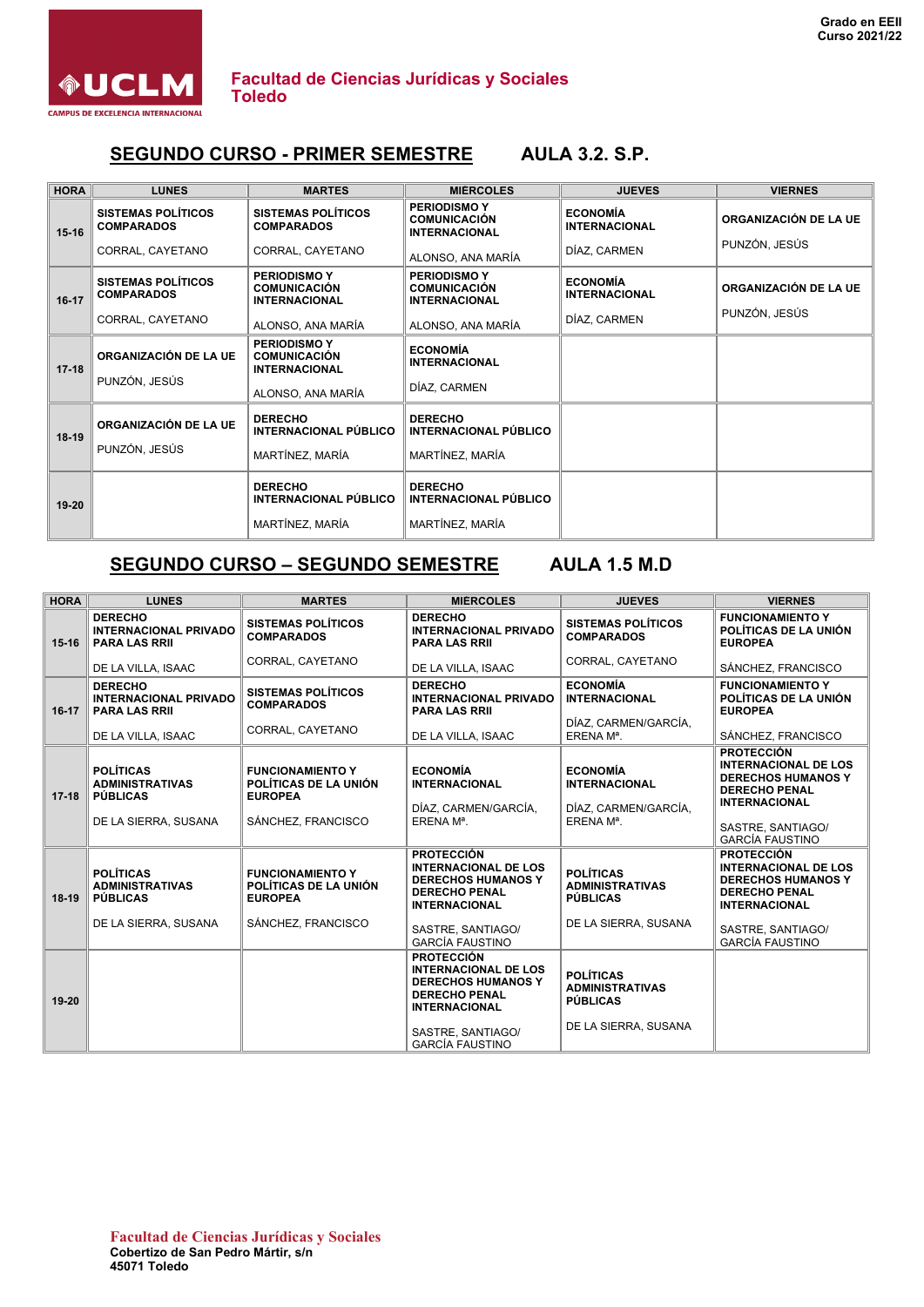

#### **SEGUNDO CURSO - PRIMER SEMESTRE AULA 3.2. S.P.**

| <b>HORA</b> | <b>LUNES</b>                                   | <b>MARTES</b>                                                      | <b>MIÉRCOLES</b>                                                   | <b>JUEVES</b>                           | <b>VIERNES</b>        |
|-------------|------------------------------------------------|--------------------------------------------------------------------|--------------------------------------------------------------------|-----------------------------------------|-----------------------|
| $15 - 16$   | <b>SISTEMAS POLÍTICOS</b><br><b>COMPARADOS</b> | <b>SISTEMAS POLÍTICOS</b><br><b>COMPARADOS</b>                     | <b>PERIODISMO Y</b><br><b>COMUNICACIÓN</b><br><b>INTERNACIONAL</b> | <b>ECONOMÍA</b><br><b>INTERNACIONAL</b> | ORGANIZACIÓN DE LA UE |
|             | CORRAL, CAYETANO                               | CORRAL, CAYETANO                                                   | ALONSO, ANA MARÍA                                                  | DÍAZ, CARMEN                            | PUNZÓN, JESÚS         |
| $16-17$     | <b>SISTEMAS POLÍTICOS</b><br><b>COMPARADOS</b> | <b>PERIODISMO Y</b><br><b>COMUNICACIÓN</b><br><b>INTERNACIONAL</b> | <b>PERIODISMO Y</b><br><b>COMUNICACIÓN</b><br><b>INTERNACIONAL</b> | <b>ECONOMÍA</b><br><b>INTERNACIONAL</b> | ORGANIZACIÓN DE LA UE |
|             | CORRAL, CAYETANO                               | ALONSO, ANA MARÍA                                                  | ALONSO, ANA MARÍA                                                  | DÍAZ, CARMEN                            | PUNZÓN, JESÚS         |
| $17 - 18$   | ORGANIZACIÓN DE LA UE                          | <b>PERIODISMO Y</b><br><b>COMUNICACIÓN</b><br><b>INTERNACIONAL</b> | <b>ECONOMÍA</b><br><b>INTERNACIONAL</b>                            |                                         |                       |
|             | PUNZÓN, JESÚS                                  | ALONSO, ANA MARÍA                                                  | DÍAZ, CARMEN                                                       |                                         |                       |
| $18-19$     | ORGANIZACIÓN DE LA UE                          | <b>DERECHO</b><br><b>INTERNACIONAL PÚBLICO</b>                     | <b>DERECHO</b><br><b>INTERNACIONAL PÚBLICO</b>                     |                                         |                       |
|             | PUNZÓN, JESÚS                                  | MARTÍNEZ, MARÍA                                                    | MARTÍNEZ, MARÍA                                                    |                                         |                       |
| $19 - 20$   |                                                | <b>DERECHO</b><br>INTERNACIONAL PÚBLICO                            | <b>DERECHO</b><br><b>INTERNACIONAL PÚBLICO</b>                     |                                         |                       |
|             |                                                | MARTÍNEZ, MARÍA                                                    | MARTÍNEZ, MARÍA                                                    |                                         |                       |

## **SEGUNDO CURSO – SEGUNDO SEMESTRE AULA 1.5 M.D**

| <b>HORA</b> | <b>LUNES</b>                                                                          | <b>MARTES</b>                                                                            | <b>MIÉRCOLES</b>                                                                                                                                                             | <b>JUEVES</b>                                                                         | <b>VIERNES</b>                                                                                                                                     |
|-------------|---------------------------------------------------------------------------------------|------------------------------------------------------------------------------------------|------------------------------------------------------------------------------------------------------------------------------------------------------------------------------|---------------------------------------------------------------------------------------|----------------------------------------------------------------------------------------------------------------------------------------------------|
| $15 - 16$   | <b>DERECHO</b><br><b>INTERNACIONAL PRIVADO</b><br><b>PARA LAS RRII</b>                | <b>SISTEMAS POLÍTICOS</b><br><b>COMPARADOS</b>                                           | <b>DERECHO</b><br><b>INTERNACIONAL PRIVADO</b><br><b>PARA LAS RRII</b>                                                                                                       | <b>SISTEMAS POLÍTICOS</b><br><b>COMPARADOS</b>                                        | <b>FUNCIONAMIENTO Y</b><br>POLÍTICAS DE LA UNIÓN<br><b>EUROPEA</b>                                                                                 |
|             | DE LA VILLA, ISAAC                                                                    | CORRAL, CAYETANO                                                                         | DE LA VILLA, ISAAC                                                                                                                                                           | CORRAL, CAYETANO                                                                      | SÁNCHEZ, FRANCISCO                                                                                                                                 |
| $16 - 17$   | <b>DERECHO</b><br><b>INTERNACIONAL PRIVADO</b><br><b>PARA LAS RRII</b>                | <b>SISTEMAS POLÍTICOS</b><br><b>COMPARADOS</b><br>CORRAL, CAYETANO                       | <b>DERECHO</b><br><b>INTERNACIONAL PRIVADO</b><br><b>PARA LAS RRII</b>                                                                                                       | <b>ECONOMÍA</b><br><b>INTERNACIONAL</b><br>DÍAZ, CARMEN/GARCÍA,                       | <b>FUNCIONAMIENTO Y</b><br>POLÍTICAS DE LA UNIÓN<br><b>EUROPEA</b>                                                                                 |
|             | DE LA VILLA, ISAAC                                                                    |                                                                                          | DE LA VILLA, ISAAC                                                                                                                                                           | ERENA Mª.                                                                             | SÁNCHEZ, FRANCISCO                                                                                                                                 |
| $17 - 18$   | <b>POLÍTICAS</b><br><b>ADMINISTRATIVAS</b><br><b>PÚBLICAS</b><br>DE LA SIERRA, SUSANA | <b>FUNCIONAMIENTO Y</b><br>POLÍTICAS DE LA UNIÓN<br><b>EUROPEA</b><br>SÁNCHEZ, FRANCISCO | <b>ECONOMÍA</b><br><b>INTERNACIONAL</b><br>DÍAZ. CARMEN/GARCÍA.<br>ERENA M <sup>a</sup> .                                                                                    | <b>ECONOMÍA</b><br><b>INTERNACIONAL</b><br>DÍAZ, CARMEN/GARCÍA,<br>ERENA Mª.          | <b>PROTECCIÓN</b><br><b>INTERNACIONAL DE LOS</b><br><b>DERECHOS HUMANOS Y</b><br><b>DERECHO PENAL</b><br><b>INTERNACIONAL</b><br>SASTRE, SANTIAGO/ |
|             |                                                                                       |                                                                                          |                                                                                                                                                                              |                                                                                       | <b>GARCÍA FAUSTINO</b>                                                                                                                             |
| $18-19$     | <b>POLÍTICAS</b><br><b>ADMINISTRATIVAS</b><br><b>PÚBLICAS</b>                         | <b>FUNCIONAMIENTO Y</b><br>POLÍTICAS DE LA UNIÓN<br><b>EUROPEA</b>                       | <b>PROTECCIÓN</b><br><b>INTERNACIONAL DE LOS</b><br><b>DERECHOS HUMANOS Y</b><br><b>DERECHO PENAL</b><br><b>INTERNACIONAL</b>                                                | <b>POLÍTICAS</b><br><b>ADMINISTRATIVAS</b><br><b>PÚBLICAS</b>                         | <b>PROTECCIÓN</b><br><b>INTERNACIONAL DE LOS</b><br><b>DERECHOS HUMANOS Y</b><br><b>DERECHO PENAL</b><br><b>INTERNACIONAL</b>                      |
|             | DE LA SIERRA, SUSANA                                                                  | SÁNCHEZ, FRANCISCO                                                                       | SASTRE, SANTIAGO/<br><b>GARCÍA FAUSTINO</b>                                                                                                                                  | DE LA SIERRA, SUSANA                                                                  | SASTRE, SANTIAGO/<br><b>GARCÍA FAUSTINO</b>                                                                                                        |
| $19 - 20$   |                                                                                       |                                                                                          | <b>PROTECCIÓN</b><br><b>INTERNACIONAL DE LOS</b><br><b>DERECHOS HUMANOS Y</b><br><b>DERECHO PENAL</b><br><b>INTERNACIONAL</b><br>SASTRE, SANTIAGO/<br><b>GARCÍA FAUSTINO</b> | <b>POLÍTICAS</b><br><b>ADMINISTRATIVAS</b><br><b>PÚBLICAS</b><br>DE LA SIERRA, SUSANA |                                                                                                                                                    |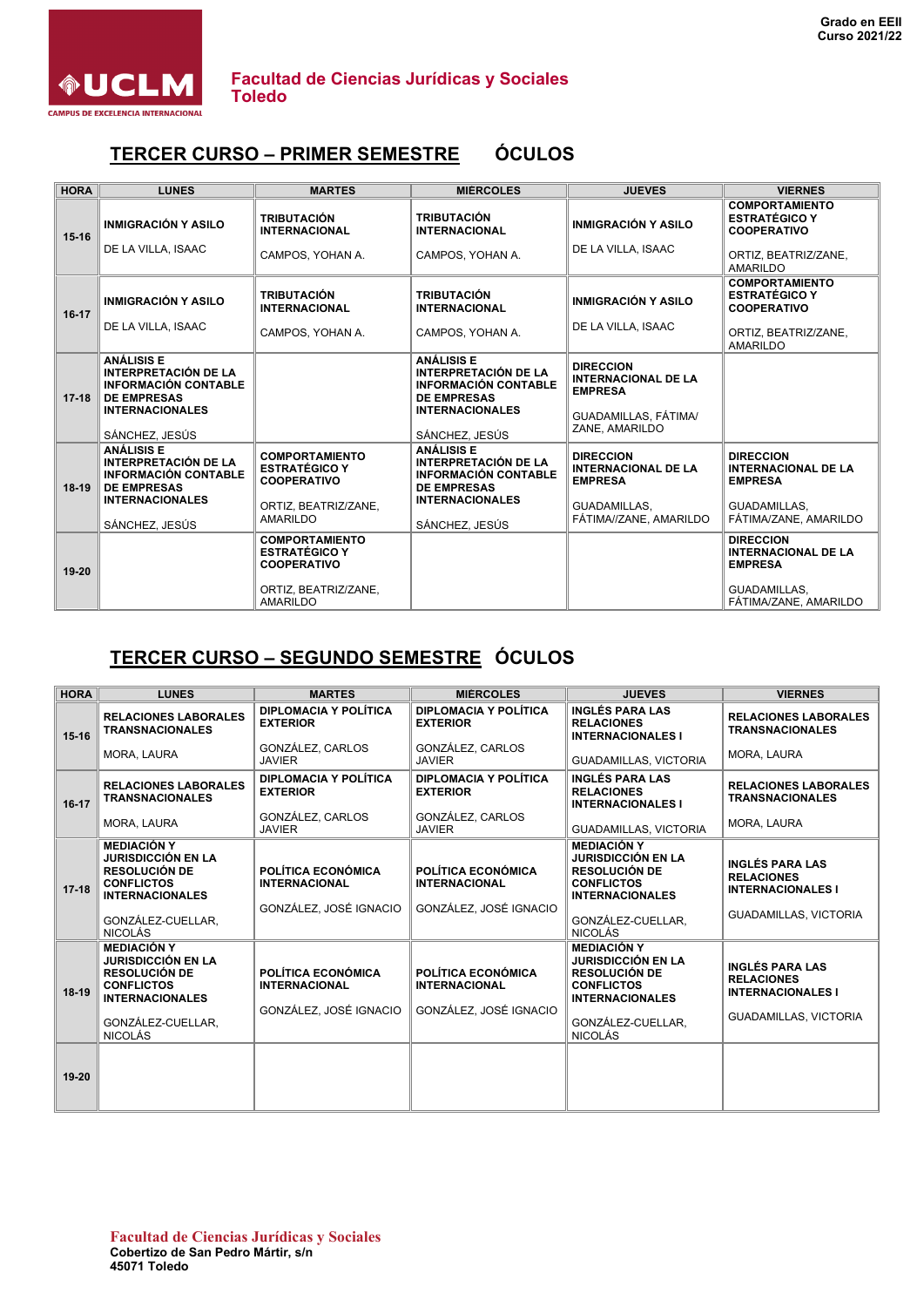

### **TERCER CURSO – PRIMER SEMESTRE ÓCULOS**

| <b>HORA</b> | <b>LUNES</b>                                                                                          | <b>MARTES</b>                                                       | <b>MIÉRCOLES</b>                                                                                      | <b>JUEVES</b>                                                    | <b>VIERNES</b>                                                      |
|-------------|-------------------------------------------------------------------------------------------------------|---------------------------------------------------------------------|-------------------------------------------------------------------------------------------------------|------------------------------------------------------------------|---------------------------------------------------------------------|
| $15 - 16$   | <b>INMIGRACIÓN Y ASILO</b>                                                                            | <b>TRIBUTACIÓN</b><br><b>INTERNACIONAL</b>                          | <b>TRIBUTACIÓN</b><br><b>INTERNACIONAL</b>                                                            | <b>INMIGRACIÓN Y ASILO</b>                                       | <b>COMPORTAMIENTO</b><br><b>ESTRATÉGICO Y</b><br><b>COOPERATIVO</b> |
|             | DE LA VILLA, ISAAC                                                                                    | CAMPOS, YOHAN A.                                                    | CAMPOS, YOHAN A.                                                                                      | DE LA VILLA, ISAAC                                               | ORTIZ, BEATRIZ/ZANE,<br><b>AMARILDO</b>                             |
| $16 - 17$   | <b>INMIGRACIÓN Y ASILO</b>                                                                            | <b>TRIBUTACIÓN</b><br><b>INTERNACIONAL</b>                          | <b>TRIBUTACIÓN</b><br><b>INTERNACIONAL</b>                                                            | <b>INMIGRACIÓN Y ASILO</b>                                       | <b>COMPORTAMIENTO</b><br><b>ESTRATÉGICO Y</b><br><b>COOPERATIVO</b> |
|             | DE LA VILLA, ISAAC                                                                                    | CAMPOS, YOHAN A.                                                    | CAMPOS, YOHAN A.                                                                                      | DE LA VILLA, ISAAC                                               | ORTIZ, BEATRIZ/ZANE,<br><b>AMARILDO</b>                             |
| $17 - 18$   | <b>ANÁLISIS E</b><br><b>INTERPRETACIÓN DE LA</b><br><b>INFORMACIÓN CONTABLE</b><br><b>DE EMPRESAS</b> |                                                                     | <b>ANÁLISIS E</b><br><b>INTERPRETACIÓN DE LA</b><br><b>INFORMACIÓN CONTABLE</b><br><b>DE EMPRESAS</b> | <b>DIRECCION</b><br><b>INTERNACIONAL DE LA</b><br><b>EMPRESA</b> |                                                                     |
|             | <b>INTERNACIONALES</b><br>SÁNCHEZ, JESÚS                                                              |                                                                     | <b>INTERNACIONALES</b><br>SÁNCHEZ, JESÚS                                                              | GUADAMILLAS, FÁTIMA/<br>ZANE, AMARILDO                           |                                                                     |
| $18-19$     | <b>ANÁLISIS E</b><br><b>INTERPRETACIÓN DE LA</b><br><b>INFORMACIÓN CONTABLE</b><br><b>DE EMPRESAS</b> | <b>COMPORTAMIENTO</b><br><b>ESTRATÉGICO Y</b><br><b>COOPERATIVO</b> | <b>ANÁLISIS E</b><br><b>INTERPRETACIÓN DE LA</b><br><b>INFORMACIÓN CONTABLE</b><br><b>DE EMPRESAS</b> | <b>DIRECCION</b><br><b>INTERNACIONAL DE LA</b><br><b>EMPRESA</b> | <b>DIRECCION</b><br><b>INTERNACIONAL DE LA</b><br><b>EMPRESA</b>    |
|             | <b>INTERNACIONALES</b><br>SÁNCHEZ, JESÚS                                                              | ORTIZ, BEATRIZ/ZANE,<br><b>AMARILDO</b>                             | <b>INTERNACIONALES</b><br>SÁNCHEZ, JESÚS                                                              | GUADAMILLAS,<br>FÁTIMA//ZANE, AMARILDO                           | GUADAMILLAS.<br>FÁTIMA/ZANE, AMARILDO                               |
| $19 - 20$   |                                                                                                       | <b>COMPORTAMIENTO</b><br><b>ESTRATÉGICO Y</b><br><b>COOPERATIVO</b> |                                                                                                       |                                                                  | <b>DIRECCION</b><br><b>INTERNACIONAL DE LA</b><br><b>EMPRESA</b>    |
|             |                                                                                                       | ORTIZ, BEATRIZ/ZANE,<br><b>AMARILDO</b>                             |                                                                                                       |                                                                  | GUADAMILLAS,<br>FÁTIMA/ZANE, AMARILDO                               |

# **TERCER CURSO – SEGUNDO SEMESTRE ÓCULOS**

| <b>HORA</b> | <b>LUNES</b>                                                                                                                                                                    | <b>MARTES</b>                                                        | <b>MIÉRCOLES</b>                                                     | <b>JUEVES</b>                                                                                                                                                                   | <b>VIERNES</b>                                                                                          |
|-------------|---------------------------------------------------------------------------------------------------------------------------------------------------------------------------------|----------------------------------------------------------------------|----------------------------------------------------------------------|---------------------------------------------------------------------------------------------------------------------------------------------------------------------------------|---------------------------------------------------------------------------------------------------------|
| $15 - 16$   | <b>RELACIONES LABORALES</b><br><b>TRANSNACIONALES</b>                                                                                                                           | DIPLOMACIA Y POLÍTICA<br><b>EXTERIOR</b>                             | DIPLOMACIA Y POLÍTICA<br><b>EXTERIOR</b>                             | <b>INGLÉS PARA LAS</b><br><b>RELACIONES</b><br><b>INTERNACIONALES I</b>                                                                                                         | <b>RELACIONES LABORALES</b><br><b>TRANSNACIONALES</b>                                                   |
|             | MORA, LAURA                                                                                                                                                                     | GONZÁLEZ, CARLOS<br><b>JAVIER</b>                                    | GONZÁLEZ, CARLOS<br><b>JAVIER</b>                                    | GUADAMILLAS, VICTORIA                                                                                                                                                           | MORA, LAURA                                                                                             |
| $16-17$     | <b>RELACIONES LABORALES</b><br><b>TRANSNACIONALES</b>                                                                                                                           | DIPLOMACIA Y POLÍTICA<br><b>EXTERIOR</b>                             | DIPLOMACIA Y POLÍTICA<br><b>EXTERIOR</b>                             | <b>INGLÉS PARA LAS</b><br><b>RELACIONES</b><br><b>INTERNACIONALES I</b>                                                                                                         | <b>RELACIONES LABORALES</b><br><b>TRANSNACIONALES</b>                                                   |
|             | MORA, LAURA                                                                                                                                                                     | GONZÁLEZ, CARLOS<br><b>JAVIER</b>                                    | GONZÁLEZ, CARLOS<br><b>JAVIER</b>                                    | <b>GUADAMILLAS, VICTORIA</b>                                                                                                                                                    | MORA, LAURA                                                                                             |
| $17 - 18$   | <b>MEDIACIÓN Y</b><br><b>JURISDICCIÓN EN LA</b><br><b>RESOLUCIÓN DE</b><br><b>CONFLICTOS</b><br><b>INTERNACIONALES</b><br>GONZÁLEZ-CUELLAR.                                     | POLÍTICA ECONÓMICA<br><b>INTERNACIONAL</b><br>GONZÁLEZ, JOSÉ IGNACIO | POLÍTICA ECONÓMICA<br><b>INTERNACIONAL</b><br>GONZÁLEZ, JOSÉ IGNACIO | <b>MEDIACIÓN Y</b><br><b>JURISDICCIÓN EN LA</b><br><b>RESOLUCIÓN DE</b><br><b>CONFLICTOS</b><br><b>INTERNACIONALES</b><br>GONZÁLEZ-CUELLAR.                                     | <b>INGLÉS PARA LAS</b><br><b>RELACIONES</b><br><b>INTERNACIONALES I</b><br><b>GUADAMILLAS, VICTORIA</b> |
| $18-19$     | <b>NICOLÁS</b><br><b>MEDIACIÓN Y</b><br><b>JURISDICCIÓN EN LA</b><br><b>RESOLUCIÓN DE</b><br><b>CONFLICTOS</b><br><b>INTERNACIONALES</b><br>GONZÁLEZ-CUELLAR.<br><b>NICOLÁS</b> | POLÍTICA ECONÓMICA<br><b>INTERNACIONAL</b><br>GONZÁLEZ, JOSÉ IGNACIO | POLÍTICA ECONÓMICA<br><b>INTERNACIONAL</b><br>GONZÁLEZ, JOSÉ IGNACIO | <b>NICOLÁS</b><br><b>MEDIACIÓN Y</b><br><b>JURISDICCIÓN EN LA</b><br><b>RESOLUCIÓN DE</b><br><b>CONFLICTOS</b><br><b>INTERNACIONALES</b><br>GONZÁLEZ-CUELLAR.<br><b>NICOLÁS</b> | <b>INGLÉS PARA LAS</b><br><b>RELACIONES</b><br><b>INTERNACIONALES I</b><br><b>GUADAMILLAS, VICTORIA</b> |
| $19 - 20$   |                                                                                                                                                                                 |                                                                      |                                                                      |                                                                                                                                                                                 |                                                                                                         |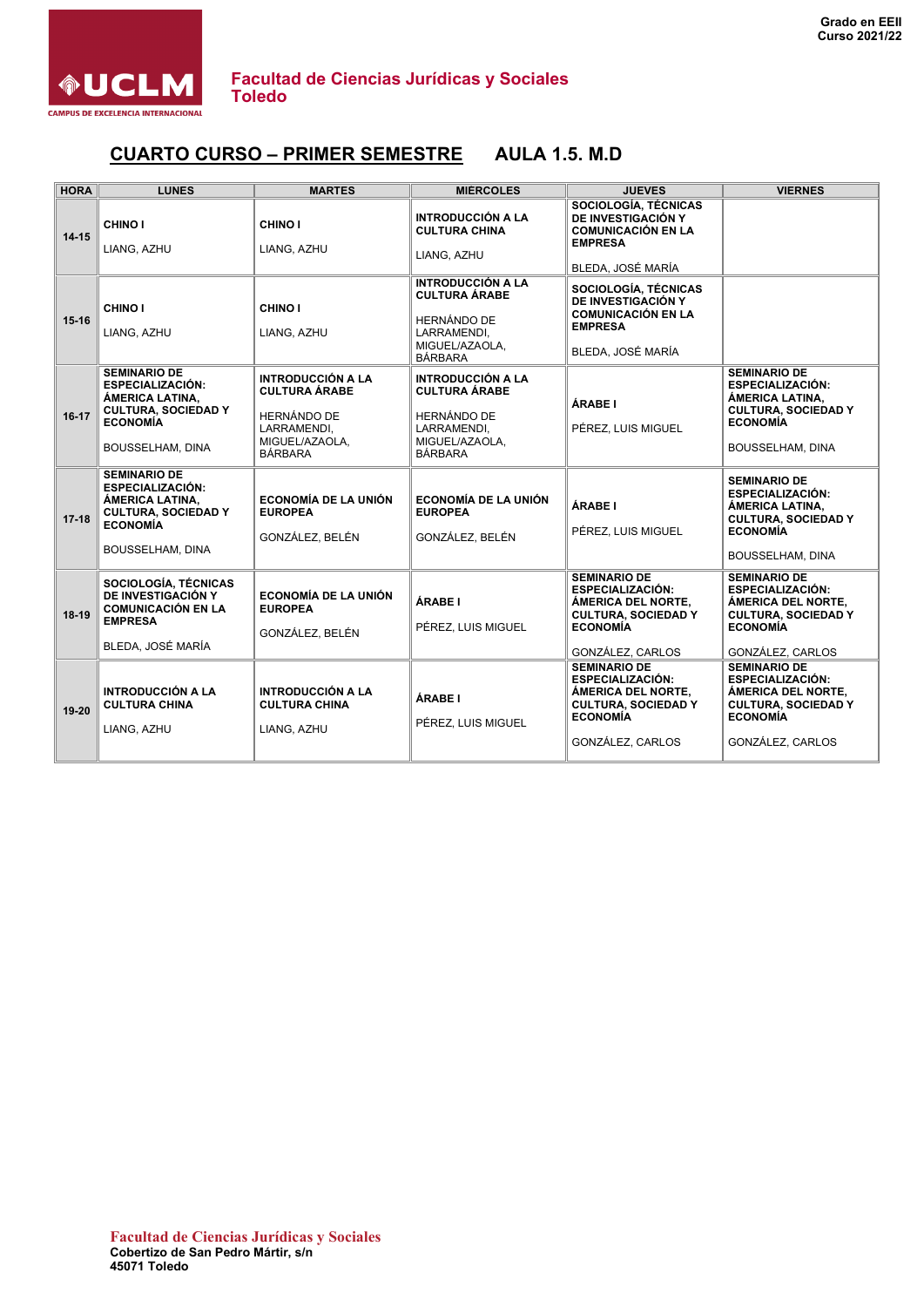

#### **CUARTO CURSO – PRIMER SEMESTRE AULA 1.5. M.D**

| <b>HORA</b> | <b>LUNES</b>                                                                                                                           | <b>MARTES</b>                                                                                                             | <b>MIÉRCOLES</b>                                                                                                          | <b>JUEVES</b>                                                                                                                             | <b>VIERNES</b>                                                                                                                                |
|-------------|----------------------------------------------------------------------------------------------------------------------------------------|---------------------------------------------------------------------------------------------------------------------------|---------------------------------------------------------------------------------------------------------------------------|-------------------------------------------------------------------------------------------------------------------------------------------|-----------------------------------------------------------------------------------------------------------------------------------------------|
| $14 - 15$   | <b>CHINO I</b><br>LIANG, AZHU                                                                                                          | CHINO I<br>LIANG, AZHU                                                                                                    | <b>INTRODUCCIÓN A LA</b><br><b>CULTURA CHINA</b><br>LIANG. AZHU                                                           | SOCIOLOGÍA, TÉCNICAS<br>DE INVESTIGACIÓN Y<br><b>COMUNICACIÓN EN LA</b><br><b>EMPRESA</b><br>BLEDA, JOSÉ MARÍA                            |                                                                                                                                               |
| $15 - 16$   | CHINO I<br>LIANG, AZHU                                                                                                                 | CHINO I<br>LIANG, AZHU                                                                                                    | <b>INTRODUCCIÓN A LA</b><br><b>CULTURA ÁRABE</b><br><b>HERNÁNDO DE</b><br>LARRAMENDI,<br>MIGUEL/AZAOLA.<br><b>BÁRBARA</b> | SOCIOLOGÍA, TÉCNICAS<br>DE INVESTIGACIÓN Y<br><b>COMUNICACIÓN EN LA</b><br><b>EMPRESA</b><br>BLEDA. JOSÉ MARÍA                            |                                                                                                                                               |
| $16-17$     | <b>SEMINARIO DE</b><br><b>ESPECIALIZACIÓN:</b><br>ÁMERICA LATINA,<br><b>CULTURA, SOCIEDAD Y</b><br><b>ECONOMÍA</b><br>BOUSSELHAM, DINA | <b>INTRODUCCIÓN A LA</b><br><b>CULTURA ÁRABE</b><br><b>HERNÁNDO DE</b><br>LARRAMENDI,<br>MIGUEL/AZAOLA.<br><b>BÁRBARA</b> | <b>INTRODUCCIÓN A LA</b><br><b>CULTURA ÁRABE</b><br>HERNÁNDO DE<br>LARRAMENDI,<br>MIGUEL/AZAOLA.<br><b>BÁRBARA</b>        | ÁRABE I<br>PÉREZ, LUIS MIGUEL                                                                                                             | <b>SEMINARIO DE</b><br><b>ESPECIALIZACIÓN:</b><br>ÁMERICA LATINA,<br><b>CULTURA, SOCIEDAD Y</b><br><b>ECONOMÍA</b><br>BOUSSELHAM, DINA        |
| $17 - 18$   | <b>SEMINARIO DE</b><br><b>ESPECIALIZACIÓN:</b><br>ÁMERICA LATINA,<br><b>CULTURA, SOCIEDAD Y</b><br><b>ECONOMÍA</b><br>BOUSSELHAM, DINA | <b>ECONOMÍA DE LA UNIÓN</b><br><b>EUROPEA</b><br>GONZÁLEZ, BELÉN                                                          | <b>ECONOMÍA DE LA UNIÓN</b><br><b>EUROPEA</b><br>GONZÁLEZ, BELÉN                                                          | ÁRABE I<br>PÉREZ. LUIS MIGUEL                                                                                                             | <b>SEMINARIO DE</b><br><b>ESPECIALIZACIÓN:</b><br>ÁMERICA LATINA,<br><b>CULTURA, SOCIEDAD Y</b><br><b>ECONOMÍA</b><br><b>BOUSSELHAM, DINA</b> |
| $18-19$     | SOCIOLOGÍA, TÉCNICAS<br>DE INVESTIGACIÓN Y<br><b>COMUNICACIÓN EN LA</b><br><b>EMPRESA</b><br>BLEDA, JOSÉ MARÍA                         | <b>ECONOMÍA DE LA UNIÓN</b><br><b>EUROPEA</b><br>GONZÁLEZ, BELÉN                                                          | ÁRABE I<br>PÉREZ. LUIS MIGUEL                                                                                             | <b>SEMINARIO DE</b><br><b>ESPECIALIZACIÓN:</b><br>ÁMERICA DEL NORTE,<br><b>CULTURA, SOCIEDAD Y</b><br><b>ECONOMÍA</b><br>GONZÁLEZ, CARLOS | <b>SEMINARIO DE</b><br><b>ESPECIALIZACIÓN:</b><br>ÁMERICA DEL NORTE,<br><b>CULTURA, SOCIEDAD Y</b><br><b>ECONOMÍA</b><br>GONZÁLEZ, CARLOS     |
| 19-20       | <b>INTRODUCCIÓN A LA</b><br><b>CULTURA CHINA</b><br>LIANG, AZHU                                                                        | <b>INTRODUCCIÓN A LA</b><br><b>CULTURA CHINA</b><br>LIANG, AZHU                                                           | ÁRABE I<br>PÉREZ, LUIS MIGUEL                                                                                             | <b>SEMINARIO DE</b><br><b>ESPECIALIZACIÓN:</b><br>ÁMERICA DEL NORTE,<br><b>CULTURA, SOCIEDAD Y</b><br><b>ECONOMÍA</b><br>GONZÁLEZ, CARLOS | <b>SEMINARIO DE</b><br><b>ESPECIALIZACIÓN:</b><br>ÁMERICA DEL NORTE,<br><b>CULTURA, SOCIEDAD Y</b><br><b>ECONOMÍA</b><br>GONZÁLEZ, CARLOS     |